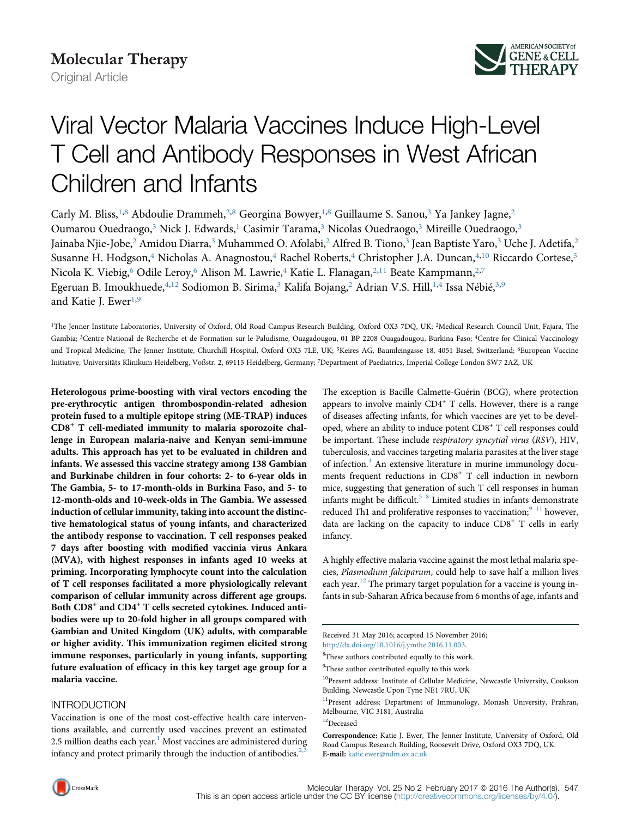

# Viral Vector Malaria Vaccines Induce High-Level T Cell and Antibody Responses in West African Children and Infants

Carly M. Bliss,<sup>1,8</sup> Abdoulie Drammeh,<sup>2,8</sup> Georgina Bowyer,<sup>1,8</sup> Guillaume S. Sanou,<sup>3</sup> Ya Jankey Jagne,<sup>2</sup> Oumarou Ouedraogo,<sup>3</sup> Nick J. Edwards,<sup>1</sup> Casimir Tarama,<sup>3</sup> Nicolas Ouedraogo,<sup>3</sup> Mireille Ouedraogo,<sup>3</sup> Jainaba Njie-Jobe,<sup>2</sup> Amidou Diarra,<sup>3</sup> Muhammed O. Afolabi,<sup>2</sup> Alfred B. Tiono,<sup>3</sup> Jean Baptiste Yaro,<sup>3</sup> Uche J. Adetifa,<sup>2</sup> Susanne H. Hodgson,<sup>4</sup> Nicholas A. Anagnostou,<sup>4</sup> Rachel Roberts,<sup>4</sup> Christopher J.A. Duncan,<sup>4,10</sup> Riccardo Cortese,<sup>5</sup> Nicola K. Viebig,<sup>6</sup> Odile Leroy,<sup>6</sup> Alison M. Lawrie,<sup>4</sup> Katie L. Flanagan,<sup>2,11</sup> Beate Kampmann,<sup>2,7</sup> Egeruan B. Imoukhuede, <sup>4,12</sup> Sodiomon B. Sirima,<sup>3</sup> Kalifa Bojang,<sup>2</sup> Adrian V.S. Hill, <sup>1,4</sup> Issa Nébié, <sup>3,9</sup> and Katie J. Ewer<sup>1,9</sup>

<sup>1</sup>The Jenner Institute Laboratories, University of Oxford, Old Road Campus Research Building, Oxford OX3 7DQ, UK; <sup>2</sup>Medical Research Council Unit, Fajara, The Gambia; <sup>3</sup>Centre National de Recherche et de Formation sur le Paludisme, Ouagadougou, 01 BP 2208 Ouagadougou, Burkina Faso; <sup>4</sup>Centre for Clinical Vaccinology and Tropical Medicine, The Jenner Institute, Churchill Hospital, Oxford OX3 7LE, UK; <sup>5</sup>Keires AG, Baumleingasse 18, 4051 Basel, Switzerland; <sup>6</sup>European Vaccine Initiative, Universitäts Klinikum Heidelberg, Voßstr. 2, 69115 Heidelberg, Germany; 7Department of Paediatrics, Imperial College London SW7 2AZ, UK

Heterologous prime-boosting with viral vectors encoding the pre-erythrocytic antigen thrombospondin-related adhesion protein fused to a multiple epitope string (ME-TRAP) induces CD8<sup>+</sup> T cell-mediated immunity to malaria sporozoite challenge in European malaria-naive and Kenyan semi-immune adults. This approach has yet to be evaluated in children and infants. We assessed this vaccine strategy among 138 Gambian and Burkinabe children in four cohorts: 2- to 6-year olds in The Gambia, 5- to 17-month-olds in Burkina Faso, and 5- to 12-month-olds and 10-week-olds in The Gambia. We assessed induction of cellular immunity, taking into account the distinctive hematological status of young infants, and characterized the antibody response to vaccination. T cell responses peaked 7 days after boosting with modified vaccinia virus Ankara (MVA), with highest responses in infants aged 10 weeks at priming. Incorporating lymphocyte count into the calculation of T cell responses facilitated a more physiologically relevant comparison of cellular immunity across different age groups. Both CD8<sup>+</sup> and CD4<sup>+</sup> T cells secreted cytokines. Induced antibodies were up to 20-fold higher in all groups compared with Gambian and United Kingdom (UK) adults, with comparable or higher avidity. This immunization regimen elicited strong immune responses, particularly in young infants, supporting future evaluation of efficacy in this key target age group for a malaria vaccine.

# **INTRODUCTION**

Vaccination is one of the most cost-effective health care interventions available, and currently used vaccines prevent an estimated 2.5 million deaths each year. $<sup>1</sup>$  $<sup>1</sup>$  $<sup>1</sup>$  Most vaccines are administered during</sup> infancy and protect primarily through the induction of antibodies. $^{2,3}$  $^{2,3}$  $^{2,3}$ 

The exception is Bacille Calmette-Guérin (BCG), where protection appears to involve mainly  $CD4^+$  T cells. However, there is a range of diseases affecting infants, for which vaccines are yet to be developed, where an ability to induce potent  $CDS<sup>+</sup> T$  cell responses could be important. These include respiratory syncytial virus (RSV), HIV, tuberculosis, and vaccines targeting malaria parasites at the liver stage of infection.<sup>[4](#page-10-0)</sup> An extensive literature in murine immunology documents frequent reductions in  $CD8<sup>+</sup>$  T cell induction in newborn mice, suggesting that generation of such T cell responses in human infants might be difficult.<sup>5[–](#page-10-0)8</sup> Limited studies in infants demonstrate reduced Th1 and proliferative responses to vaccination; $9-11$  $9-11$  however, data are lacking on the capacity to induce  $CDS<sup>+</sup> T$  cells in early infancy.

A highly effective malaria vaccine against the most lethal malaria species, Plasmodium falciparum, could help to save half a million lives each year.<sup>[12](#page-11-0)</sup> The primary target population for a vaccine is young infants in sub-Saharan Africa because from 6 months of age, infants and

Received 31 May 2016; accepted 15 November 2016; <http://dx.doi.org/10.1016/j.ymthe.2016.11.003>.

<sup>&</sup>lt;sup>8</sup>These authors contributed equally to this work.

<sup>&</sup>lt;sup>9</sup>These author contributed equally to this work.

<sup>&</sup>lt;sup>10</sup>Present address: Institute of Cellular Medicine, Newcastle University, Cookson Building, Newcastle Upon Tyne NE1 7RU, UK

<sup>11</sup>Present address: Department of Immunology, Monash University, Prahran, Melbourne, VIC 3181, Australia

<sup>&</sup>lt;sup>12</sup>Deceased

Correspondence: Katie J. Ewer, The Jenner Institute, University of Oxford, Old Road Campus Research Building, Roosevelt Drive, Oxford OX3 7DQ, UK. E-mail: [katie.ewer@ndm.ox.ac.uk](mailto:katie.ewer@ndm.ox.ac.uk)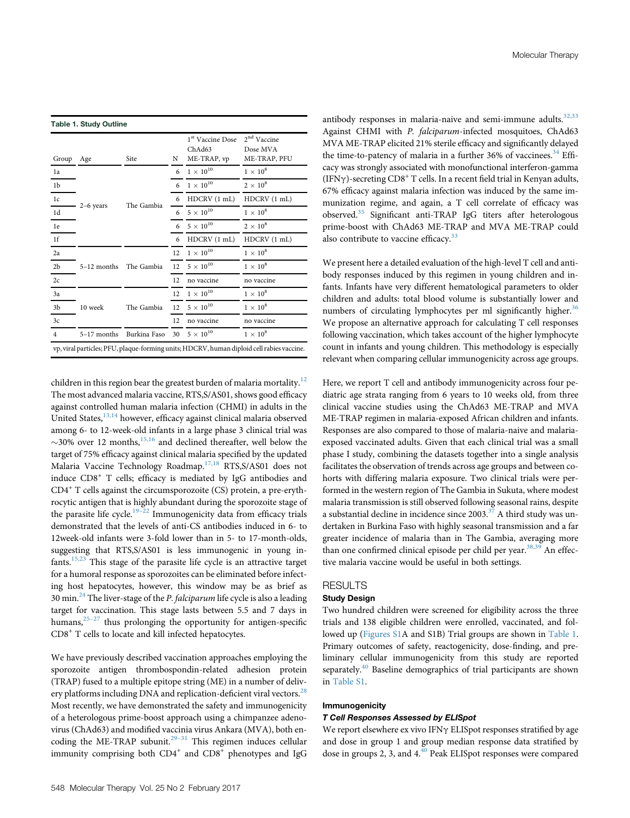| Table 1. Study Outline                                                                    |               |              |    |                                                       |                                                     |
|-------------------------------------------------------------------------------------------|---------------|--------------|----|-------------------------------------------------------|-----------------------------------------------------|
| Group                                                                                     | Age           | Site         | Ν  | 1 <sup>st</sup> Vaccine Dose<br>ChAd63<br>ME-TRAP, vp | 2 <sup>nd</sup> Vaccine<br>Dose MVA<br>ME-TRAP, PFU |
| 1a                                                                                        | $2-6$ years   | The Gambia   | 6  | $1 \times 10^{10}$                                    | $1\times10^8$                                       |
| 1 <sub>b</sub>                                                                            |               |              | 6  | $1 \times 10^{10}$                                    | $2\times10^8$                                       |
| 1c                                                                                        |               |              | 6  | HDCRV (1 mL)                                          | HDCRV (1 mL)                                        |
| 1 <sub>d</sub>                                                                            |               |              | 6  | $5 \times 10^{10}$                                    | $1\times10^8$                                       |
| 1e                                                                                        |               |              | 6  | $5 \times 10^{10}$                                    | $2 \times 10^8$                                     |
| 1 <sup>f</sup>                                                                            |               |              | 6  | HDCRV (1 mL)                                          | HDCRV (1 mL)                                        |
| 2a                                                                                        | 5–12 months   | The Gambia   | 12 | $1 \times 10^{10}$                                    | $1 \times 10^8$                                     |
| 2 <sub>b</sub>                                                                            |               |              | 12 | $5 \times 10^{10}$                                    | $1\times10^8$                                       |
| 2c                                                                                        |               |              | 12 | no vaccine                                            | no vaccine                                          |
| 3a                                                                                        | 10 week       | The Gambia   | 12 | $1 \times 10^{10}$                                    | $1\times10^8$                                       |
| 3 <sub>b</sub>                                                                            |               |              | 12 | $5\times10^{10}$                                      | $1 \times 10^8$                                     |
| 3c                                                                                        |               |              | 12 | no vaccine                                            | no vaccine                                          |
| 4                                                                                         | $5-17$ months | Burkina Faso | 30 | $5 \times 10^{10}$                                    | $1\times10^8$                                       |
| vp, viral particles; PFU, plaque-forming units; HDCRV, human diploid cell rabies vaccine. |               |              |    |                                                       |                                                     |

children in this region bear the greatest burden of malaria mortality.<sup>[12](#page-11-0)</sup> The most advanced malaria vaccine, RTS,S/AS01, shows good efficacy against controlled human malaria infection (CHMI) in adults in the United States,<sup>[13,14](#page-11-0)</sup> however, efficacy against clinical malaria observed among 6- to 12-week-old infants in a large phase 3 clinical trial was  $\sim$ 30% over 12 months,<sup>[15,16](#page-11-0)</sup> and declined thereafter, well below the target of 75% efficacy against clinical malaria specified by the updated Malaria Vaccine Technology Roadmap.[17,18](#page-11-0) RTS,S/AS01 does not induce CD8<sup>+</sup> T cells; efficacy is mediated by IgG antibodies and  $CD4<sup>+</sup>$  T cells against the circumsporozoite (CS) protein, a pre-erythrocytic antigen that is highly abundant during the sporozoite stage of the parasite life cycle.<sup>[19](#page-11-0)–22</sup> Immunogenicity data from efficacy trials demonstrated that the levels of anti-CS antibodies induced in 6- to 12week-old infants were 3-fold lower than in 5- to 17-month-olds, suggesting that RTS,S/AS01 is less immunogenic in young in-fants.<sup>[15,23](#page-11-0)</sup> This stage of the parasite life cycle is an attractive target for a humoral response as sporozoites can be eliminated before infecting host hepatocytes, however, this window may be as brief as 30 min.<sup>[24](#page-11-0)</sup> The liver-stage of the *P. falciparum* life cycle is also a leading target for vaccination. This stage lasts between 5.5 and 7 days in humans, $25-27$  $25-27$  thus prolonging the opportunity for antigen-specific CD8<sup>+</sup> T cells to locate and kill infected hepatocytes.

We have previously described vaccination approaches employing the sporozoite antigen thrombospondin-related adhesion protein (TRAP) fused to a multiple epitope string (ME) in a number of deliv-ery platforms including DNA and replication-deficient viral vectors.<sup>[28](#page-11-0)</sup> Most recently, we have demonstrated the safety and immunogenicity of a heterologous prime-boost approach using a chimpanzee adenovirus (ChAd63) and modified vaccinia virus Ankara (MVA), both en-coding the ME-TRAP subunit.<sup>[29](#page-11-0)–31</sup> This regimen induces cellular immunity comprising both  $CD4^+$  and  $CD8^+$  phenotypes and IgG antibody responses in malaria-naive and semi-immune adults.<sup>[32,33](#page-11-0)</sup> Against CHMI with P. falciparum-infected mosquitoes, ChAd63 MVA ME-TRAP elicited 21% sterile efficacy and significantly delayed the time-to-patency of malaria in a further  $36\%$  of vaccinees.<sup>[34](#page-11-0)</sup> Efficacy was strongly associated with monofunctional interferon-gamma (IFN $\gamma$ )-secreting CD8<sup>+</sup> T cells. In a recent field trial in Kenyan adults, 67% efficacy against malaria infection was induced by the same immunization regime, and again, a T cell correlate of efficacy was observed.<sup>[35](#page-11-0)</sup> Significant anti-TRAP IgG titers after heterologous prime-boost with ChAd63 ME-TRAP and MVA ME-TRAP could also contribute to vaccine efficacy. $33$ 

We present here a detailed evaluation of the high-level T cell and antibody responses induced by this regimen in young children and infants. Infants have very different hematological parameters to older children and adults: total blood volume is substantially lower and numbers of circulating lymphocytes per ml significantly higher.<sup>[36](#page-11-0)</sup> We propose an alternative approach for calculating T cell responses following vaccination, which takes account of the higher lymphocyte count in infants and young children. This methodology is especially relevant when comparing cellular immunogenicity across age groups.

Here, we report T cell and antibody immunogenicity across four pediatric age strata ranging from 6 years to 10 weeks old, from three clinical vaccine studies using the ChAd63 ME-TRAP and MVA ME-TRAP regimen in malaria-exposed African children and infants. Responses are also compared to those of malaria-naive and malariaexposed vaccinated adults. Given that each clinical trial was a small phase I study, combining the datasets together into a single analysis facilitates the observation of trends across age groups and between cohorts with differing malaria exposure. Two clinical trials were performed in the western region of The Gambia in Sukuta, where modest malaria transmission is still observed following seasonal rains, despite a substantial decline in incidence since  $2003$ .<sup>[37](#page-11-0)</sup> A third study was undertaken in Burkina Faso with highly seasonal transmission and a far greater incidence of malaria than in The Gambia, averaging more than one confirmed clinical episode per child per year. $38,39$  An effective malaria vaccine would be useful in both settings.

#### **RESULTS**

#### Study Design

Two hundred children were screened for eligibility across the three trials and 138 eligible children were enrolled, vaccinated, and followed up (Figures S1A and S1B) Trial groups are shown in Table 1. Primary outcomes of safety, reactogenicity, dose-finding, and preliminary cellular immunogenicity from this study are reported separately.<sup>[40](#page-11-0)</sup> Baseline demographics of trial participants are shown in Table S1.

# Immunogenicity

## T Cell Responses Assessed by ELISpot

We report elsewhere ex vivo IFN $\gamma$  ELISpot responses stratified by age and dose in group 1 and group median response data stratified by dose in groups 2, 3, and 4.<sup>[40](#page-11-0)</sup> Peak ELISpot responses were compared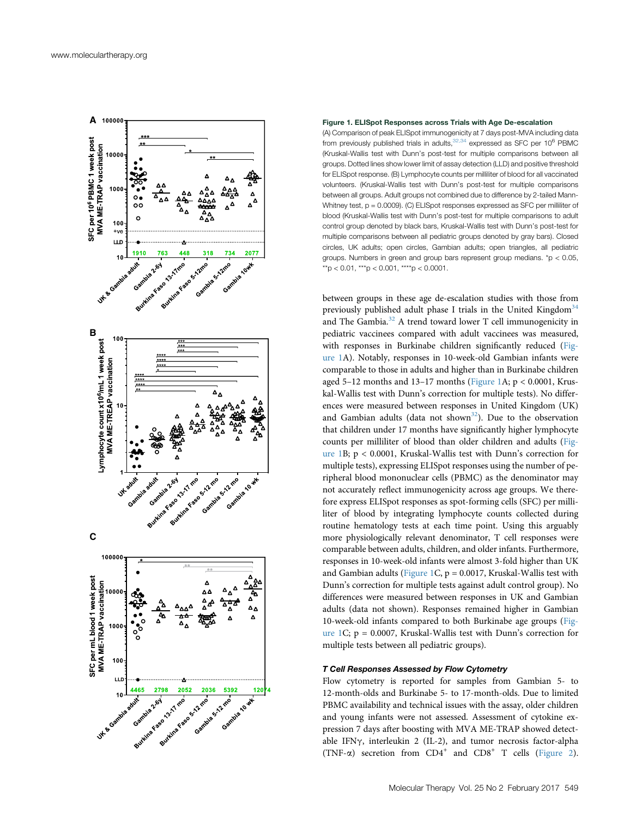

#### Figure 1. ELISpot Responses across Trials with Age De-escalation

(A) Comparison of peak ELISpot immunogenicity at 7 days post-MVA including data from previously published trials in adults,  $32,34$  expressed as SFC per 10<sup>6</sup> PBMC (Kruskal-Wallis test with Dunn's post-test for multiple comparisons between all groups. Dotted lines show lower limit of assay detection (LLD) and positive threshold for ELISpot response. (B) Lymphocyte counts per milliliter of blood for all vaccinated volunteers. (Kruskal-Wallis test with Dunn's post-test for multiple comparisons between all groups. Adult groups not combined due to difference by 2-tailed Mann-Whitney test, p = 0.0009). (C) ELISpot responses expressed as SFC per milliliter of blood (Kruskal-Wallis test with Dunn's post-test for multiple comparisons to adult control group denoted by black bars, Kruskal-Wallis test with Dunn's post-test for multiple comparisons between all pediatric groups denoted by gray bars). Closed circles, UK adults; open circles, Gambian adults; open triangles, all pediatric groups. Numbers in green and group bars represent group medians. \*p < 0.05,  $*$ <sup>\*</sup> $p$  < 0.01,  $*$  $*$  $p$  < 0.001,  $*$  $*$  $*$  $p$  < 0.0001.

between groups in these age de-escalation studies with those from previously published adult phase I trials in the United Kingdom<sup>[34](#page-11-0)</sup> and The Gambia. $32$  A trend toward lower T cell immunogenicity in pediatric vaccinees compared with adult vaccinees was measured, with responses in Burkinabe children significantly reduced (Figure 1A). Notably, responses in 10-week-old Gambian infants were comparable to those in adults and higher than in Burkinabe children aged 5–12 months and 13–17 months (Figure 1A;  $p < 0.0001$ , Kruskal-Wallis test with Dunn's correction for multiple tests). No differences were measured between responses in United Kingdom (UK) and Gambian adults (data not shown<sup>32</sup>). Due to the observation that children under 17 months have significantly higher lymphocyte counts per milliliter of blood than older children and adults (Figure 1B; p < 0.0001, Kruskal-Wallis test with Dunn's correction for multiple tests), expressing ELISpot responses using the number of peripheral blood mononuclear cells (PBMC) as the denominator may not accurately reflect immunogenicity across age groups. We therefore express ELISpot responses as spot-forming cells (SFC) per milliliter of blood by integrating lymphocyte counts collected during routine hematology tests at each time point. Using this arguably more physiologically relevant denominator, T cell responses were comparable between adults, children, and older infants. Furthermore, responses in 10-week-old infants were almost 3-fold higher than UK and Gambian adults (Figure 1C,  $p = 0.0017$ , Kruskal-Wallis test with Dunn's correction for multiple tests against adult control group). No differences were measured between responses in UK and Gambian adults (data not shown). Responses remained higher in Gambian 10-week-old infants compared to both Burkinabe age groups (Figure 1C;  $p = 0.0007$ , Kruskal-Wallis test with Dunn's correction for multiple tests between all pediatric groups).

#### T Cell Responses Assessed by Flow Cytometry

Flow cytometry is reported for samples from Gambian 5- to 12-month-olds and Burkinabe 5- to 17-month-olds. Due to limited PBMC availability and technical issues with the assay, older children and young infants were not assessed. Assessment of cytokine expression 7 days after boosting with MVA ME-TRAP showed detectable IFN $\gamma$ , interleukin 2 (IL-2), and tumor necrosis factor-alpha (TNF- $\alpha$ ) secretion from CD4<sup>+</sup> and CD8<sup>+</sup> T cells ([Figure 2\)](#page-3-0).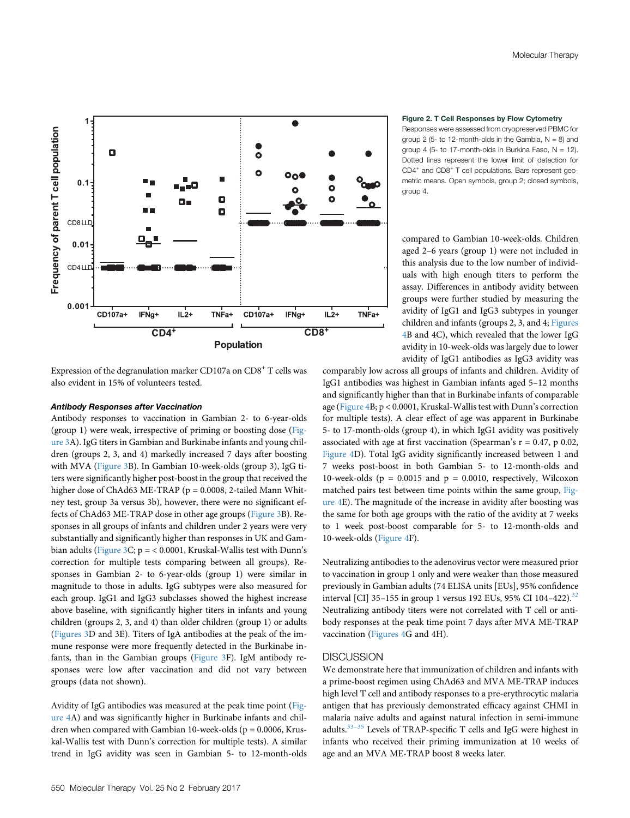<span id="page-3-0"></span>

Expression of the degranulation marker CD107a on  $CD8<sup>+</sup>$  T cells was also evident in 15% of volunteers tested.

#### Antibody Responses after Vaccination

Antibody responses to vaccination in Gambian 2- to 6-year-olds (group 1) were weak, irrespective of priming or boosting dose ([Fig](#page-4-0)[ure 3A](#page-4-0)). IgG titers in Gambian and Burkinabe infants and young children (groups 2, 3, and 4) markedly increased 7 days after boosting with MVA [\(Figure 3B](#page-4-0)). In Gambian 10-week-olds (group 3), IgG titers were significantly higher post-boost in the group that received the higher dose of ChAd63 ME-TRAP ( $p = 0.0008$ , 2-tailed Mann Whitney test, group 3a versus 3b), however, there were no significant effects of ChAd63 ME-TRAP dose in other age groups [\(Figure 3](#page-4-0)B). Responses in all groups of infants and children under 2 years were very substantially and significantly higher than responses in UK and Gam-bian adults [\(Figure 3](#page-4-0)C;  $p = < 0.0001$ , Kruskal-Wallis test with Dunn's correction for multiple tests comparing between all groups). Responses in Gambian 2- to 6-year-olds (group 1) were similar in magnitude to those in adults. IgG subtypes were also measured for each group. IgG1 and IgG3 subclasses showed the highest increase above baseline, with significantly higher titers in infants and young children (groups 2, 3, and 4) than older children (group 1) or adults ([Figures 3D](#page-4-0) and 3E). Titers of IgA antibodies at the peak of the immune response were more frequently detected in the Burkinabe infants, than in the Gambian groups ([Figure 3](#page-4-0)F). IgM antibody responses were low after vaccination and did not vary between groups (data not shown).

Avidity of IgG antibodies was measured at the peak time point ([Fig](#page-6-0)[ure 4A](#page-6-0)) and was significantly higher in Burkinabe infants and children when compared with Gambian 10-week-olds ( $p = 0.0006$ , Kruskal-Wallis test with Dunn's correction for multiple tests). A similar trend in IgG avidity was seen in Gambian 5- to 12-month-olds

#### Figure 2. T Cell Responses by Flow Cytometry

Responses were assessed from cryopreserved PBMC for group 2 (5- to 12-month-olds in the Gambia,  $N = 8$ ) and group 4 (5- to 17-month-olds in Burkina Faso,  $N = 12$ ). Dotted lines represent the lower limit of detection for CD4<sup>+</sup> and CD8<sup>+</sup> T cell populations. Bars represent geometric means. Open symbols, group 2; closed symbols, group 4.

compared to Gambian 10-week-olds. Children aged 2–6 years (group 1) were not included in this analysis due to the low number of individuals with high enough titers to perform the assay. Differences in antibody avidity between groups were further studied by measuring the avidity of IgG1 and IgG3 subtypes in younger children and infants (groups 2, 3, and 4; [Figures](#page-6-0) [4](#page-6-0)B and 4C), which revealed that the lower IgG avidity in 10-week-olds was largely due to lower avidity of IgG1 antibodies as IgG3 avidity was

comparably low across all groups of infants and children. Avidity of IgG1 antibodies was highest in Gambian infants aged 5–12 months and significantly higher than that in Burkinabe infants of comparable age [\(Figure 4](#page-6-0)B; p < 0.0001, Kruskal-Wallis test with Dunn's correction for multiple tests). A clear effect of age was apparent in Burkinabe 5- to 17-month-olds (group 4), in which IgG1 avidity was positively associated with age at first vaccination (Spearman's  $r = 0.47$ , p 0.02, [Figure 4D](#page-6-0)). Total IgG avidity significantly increased between 1 and 7 weeks post-boost in both Gambian 5- to 12-month-olds and 10-week-olds ( $p = 0.0015$  and  $p = 0.0010$ , respectively, Wilcoxon matched pairs test between time points within the same group, [Fig](#page-6-0)[ure 4](#page-6-0)E). The magnitude of the increase in avidity after boosting was the same for both age groups with the ratio of the avidity at 7 weeks to 1 week post-boost comparable for 5- to 12-month-olds and 10-week-olds [\(Figure 4F](#page-6-0)).

Neutralizing antibodies to the adenovirus vector were measured prior to vaccination in group 1 only and were weaker than those measured previously in Gambian adults (74 ELISA units [EUs], 95% confidence interval [CI] 35-155 in group 1 versus 192 EUs, 95% CI 104-422).<sup>[32](#page-11-0)</sup> Neutralizing antibody titers were not correlated with T cell or antibody responses at the peak time point 7 days after MVA ME-TRAP vaccination ([Figures 4](#page-6-0)G and 4H).

# **DISCUSSION**

We demonstrate here that immunization of children and infants with a prime-boost regimen using ChAd63 and MVA ME-TRAP induces high level T cell and antibody responses to a pre-erythrocytic malaria antigen that has previously demonstrated efficacy against CHMI in malaria naive adults and against natural infection in semi-immune adults.[33](#page-11-0)–<sup>35</sup> Levels of TRAP-specific T cells and IgG were highest in infants who received their priming immunization at 10 weeks of age and an MVA ME-TRAP boost 8 weeks later.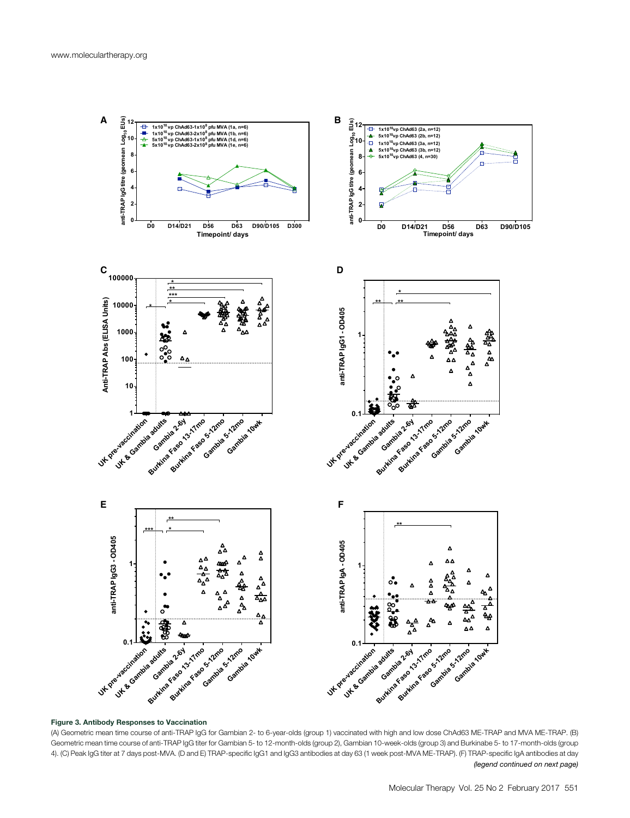<span id="page-4-0"></span>

#### Figure 3. Antibody Responses to Vaccination

(A) Geometric mean time course of anti-TRAP IgG for Gambian 2- to 6-year-olds (group 1) vaccinated with high and low dose ChAd63 ME-TRAP and MVA ME-TRAP. (B) Geometric mean time course of anti-TRAP IgG titer for Gambian 5- to 12-month-olds (group 2), Gambian 10-week-olds (group 3) and Burkinabe 5- to 17-month-olds (group 4). (C) Peak IgG titer at 7 days post-MVA. (D and E) TRAP-specific IgG1 and IgG3 antibodies at day 63 (1 week post-MVA ME-TRAP). (F) TRAP-specific IgA antibodies at day *(legend continued on next page)*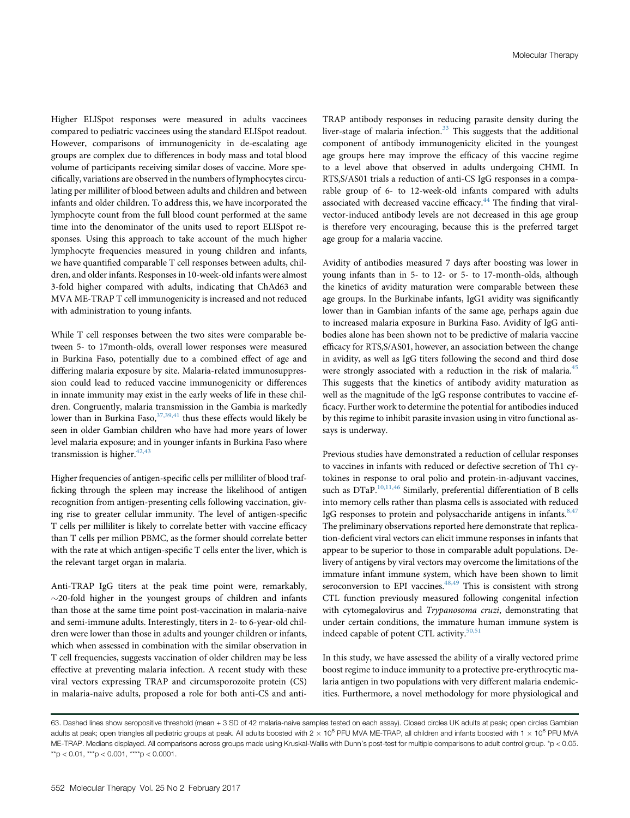Higher ELISpot responses were measured in adults vaccinees compared to pediatric vaccinees using the standard ELISpot readout. However, comparisons of immunogenicity in de-escalating age groups are complex due to differences in body mass and total blood volume of participants receiving similar doses of vaccine. More specifically, variations are observed in the numbers of lymphocytes circulating per milliliter of blood between adults and children and between infants and older children. To address this, we have incorporated the lymphocyte count from the full blood count performed at the same time into the denominator of the units used to report ELISpot responses. Using this approach to take account of the much higher lymphocyte frequencies measured in young children and infants, we have quantified comparable T cell responses between adults, children, and older infants. Responses in 10-week-old infants were almost 3-fold higher compared with adults, indicating that ChAd63 and MVA ME-TRAP T cell immunogenicity is increased and not reduced with administration to young infants.

While T cell responses between the two sites were comparable between 5- to 17month-olds, overall lower responses were measured in Burkina Faso, potentially due to a combined effect of age and differing malaria exposure by site. Malaria-related immunosuppression could lead to reduced vaccine immunogenicity or differences in innate immunity may exist in the early weeks of life in these children. Congruently, malaria transmission in the Gambia is markedly lower than in Burkina Faso,  $37,39,41$  thus these effects would likely be seen in older Gambian children who have had more years of lower level malaria exposure; and in younger infants in Burkina Faso where transmission is higher. $42,43$ 

Higher frequencies of antigen-specific cells per milliliter of blood trafficking through the spleen may increase the likelihood of antigen recognition from antigen-presenting cells following vaccination, giving rise to greater cellular immunity. The level of antigen-specific T cells per milliliter is likely to correlate better with vaccine efficacy than T cells per million PBMC, as the former should correlate better with the rate at which antigen-specific T cells enter the liver, which is the relevant target organ in malaria.

Anti-TRAP IgG titers at the peak time point were, remarkably,  $\sim$ 20-fold higher in the youngest groups of children and infants than those at the same time point post-vaccination in malaria-naive and semi-immune adults. Interestingly, titers in 2- to 6-year-old children were lower than those in adults and younger children or infants, which when assessed in combination with the similar observation in T cell frequencies, suggests vaccination of older children may be less effective at preventing malaria infection. A recent study with these viral vectors expressing TRAP and circumsporozoite protein (CS) in malaria-naive adults, proposed a role for both anti-CS and antiTRAP antibody responses in reducing parasite density during the liver-stage of malaria infection. $33$  This suggests that the additional component of antibody immunogenicity elicited in the youngest age groups here may improve the efficacy of this vaccine regime to a level above that observed in adults undergoing CHMI. In RTS,S/AS01 trials a reduction of anti-CS IgG responses in a comparable group of 6- to 12-week-old infants compared with adults associated with decreased vaccine efficacy.<sup>[44](#page-12-0)</sup> The finding that viralvector-induced antibody levels are not decreased in this age group is therefore very encouraging, because this is the preferred target age group for a malaria vaccine.

Avidity of antibodies measured 7 days after boosting was lower in young infants than in 5- to 12- or 5- to 17-month-olds, although the kinetics of avidity maturation were comparable between these age groups. In the Burkinabe infants, IgG1 avidity was significantly lower than in Gambian infants of the same age, perhaps again due to increased malaria exposure in Burkina Faso. Avidity of IgG antibodies alone has been shown not to be predictive of malaria vaccine efficacy for RTS,S/AS01, however, an association between the change in avidity, as well as IgG titers following the second and third dose were strongly associated with a reduction in the risk of malaria.<sup>[45](#page-12-0)</sup> This suggests that the kinetics of antibody avidity maturation as well as the magnitude of the IgG response contributes to vaccine efficacy. Further work to determine the potential for antibodies induced by this regime to inhibit parasite invasion using in vitro functional assays is underway.

Previous studies have demonstrated a reduction of cellular responses to vaccines in infants with reduced or defective secretion of Th1 cytokines in response to oral polio and protein-in-adjuvant vaccines, such as DTaP.<sup>[10,11,46](#page-10-0)</sup> Similarly, preferential differentiation of B cells into memory cells rather than plasma cells is associated with reduced IgG responses to protein and polysaccharide antigens in infants.<sup>[8,47](#page-10-0)</sup> The preliminary observations reported here demonstrate that replication-deficient viral vectors can elicit immune responses in infants that appear to be superior to those in comparable adult populations. Delivery of antigens by viral vectors may overcome the limitations of the immature infant immune system, which have been shown to limit seroconversion to EPI vaccines.  $48,49$  This is consistent with strong CTL function previously measured following congenital infection with cytomegalovirus and Trypanosoma cruzi, demonstrating that under certain conditions, the immature human immune system is indeed capable of potent CTL activity.<sup>[50,51](#page-12-0)</sup>

In this study, we have assessed the ability of a virally vectored prime boost regime to induce immunity to a protective pre-erythrocytic malaria antigen in two populations with very different malaria endemicities. Furthermore, a novel methodology for more physiological and

<sup>63.</sup> Dashed lines show seropositive threshold (mean + 3 SD of 42 malaria-naive samples tested on each assay). Closed circles UK adults at peak; open circles Gambian adults at peak; open triangles all pediatric groups at peak. All adults boosted with  $2 \times 10^8$  PFU MVA ME-TRAP, all children and infants boosted with  $1 \times 10^8$  PFU MVA ME-TRAP. Medians displayed. All comparisons across groups made using Kruskal-Wallis with Dunn's post-test for multiple comparisons to adult control group. \*p < 0.05.  $*$ p < 0.01,  $**$ p < 0.001,  $**$ p < 0.0001.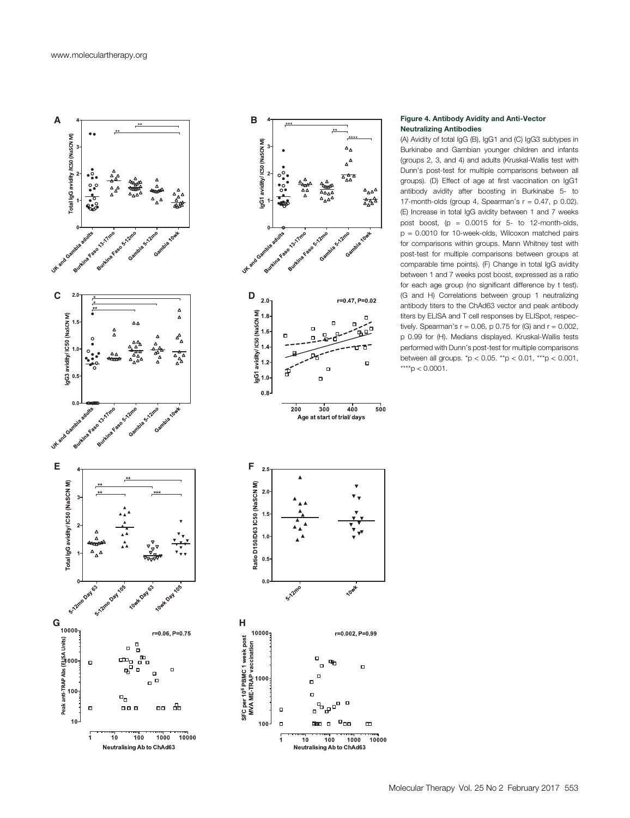<span id="page-6-0"></span>



#### Figure 4. Antibody Avidity and Anti-Vector Neutralizing Antibodies

(A) Avidity of total IgG (B), IgG1 and (C) IgG3 subtypes in Burkinabe and Gambian younger children and infants (groups 2, 3, and 4) and adults (Kruskal-Wallis test with Dunn's post-test for multiple comparisons between all groups). (D) Effect of age at first vaccination on IgG1 antibody avidity after boosting in Burkinabe 5- to 17-month-olds (group 4, Spearman's  $r = 0.47$ , p 0.02). (E) Increase in total IgG avidity between 1 and 7 weeks post boost,  $(p = 0.0015$  for  $5-$  to 12-month-olds, p = 0.0010 for 10-week-olds, Wilcoxon matched pairs for comparisons within groups. Mann Whitney test with post-test for multiple comparisons between groups at comparable time points). (F) Change in total IgG avidity between 1 and 7 weeks post boost, expressed as a ratio for each age group (no significant difference by t test). (G and H) Correlations between group 1 neutralizing antibody titers to the ChAd63 vector and peak antibody titers by ELISA and T cell responses by ELISpot, respectively. Spearman's  $r = 0.06$ , p 0.75 for (G) and  $r = 0.002$ , p 0.99 for (H). Medians displayed. Kruskal-Wallis tests performed with Dunn's post-test for multiple comparisons between all groups. \*p < 0.05. \*\*p < 0.01, \*\*\*p < 0.001, \*\*\*\*p <  $0.0001$ .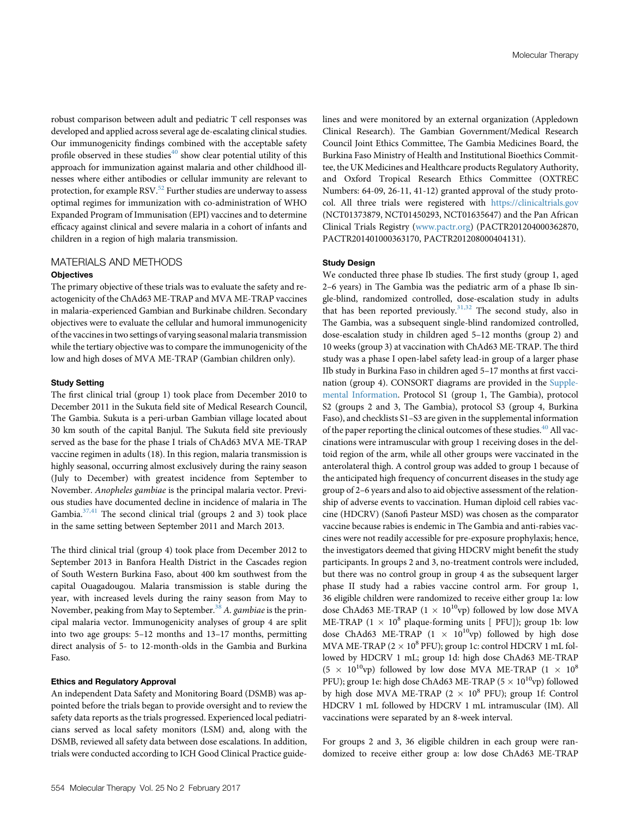robust comparison between adult and pediatric T cell responses was developed and applied across several age de-escalating clinical studies. Our immunogenicity findings combined with the acceptable safety profile observed in these studies $40$  show clear potential utility of this approach for immunization against malaria and other childhood illnesses where either antibodies or cellular immunity are relevant to protection, for example RSV.<sup>[52](#page-12-0)</sup> Further studies are underway to assess optimal regimes for immunization with co-administration of WHO Expanded Program of Immunisation (EPI) vaccines and to determine efficacy against clinical and severe malaria in a cohort of infants and children in a region of high malaria transmission.

# MATERIALS AND METHODS

## **Objectives**

The primary objective of these trials was to evaluate the safety and reactogenicity of the ChAd63 ME-TRAP and MVA ME-TRAP vaccines in malaria-experienced Gambian and Burkinabe children. Secondary objectives were to evaluate the cellular and humoral immunogenicity of the vaccines in two settings of varying seasonal malaria transmission while the tertiary objective was to compare the immunogenicity of the low and high doses of MVA ME-TRAP (Gambian children only).

# Study Setting

The first clinical trial (group 1) took place from December 2010 to December 2011 in the Sukuta field site of Medical Research Council, The Gambia. Sukuta is a peri-urban Gambian village located about 30 km south of the capital Banjul. The Sukuta field site previously served as the base for the phase I trials of ChAd63 MVA ME-TRAP vaccine regimen in adults (18). In this region, malaria transmission is highly seasonal, occurring almost exclusively during the rainy season (July to December) with greatest incidence from September to November. Anopheles gambiae is the principal malaria vector. Previous studies have documented decline in incidence of malaria in The Gambia.<sup>[37,41](#page-11-0)</sup> The second clinical trial (groups 2 and 3) took place in the same setting between September 2011 and March 2013.

The third clinical trial (group 4) took place from December 2012 to September 2013 in Banfora Health District in the Cascades region of South Western Burkina Faso, about 400 km southwest from the capital Ouagadougou. Malaria transmission is stable during the year, with increased levels during the rainy season from May to November, peaking from May to September.<sup>[38](#page-11-0)</sup> A. gambiae is the principal malaria vector. Immunogenicity analyses of group 4 are split into two age groups: 5–12 months and 13–17 months, permitting direct analysis of 5- to 12-month-olds in the Gambia and Burkina Faso.

#### Ethics and Regulatory Approval

An independent Data Safety and Monitoring Board (DSMB) was appointed before the trials began to provide oversight and to review the safety data reports as the trials progressed. Experienced local pediatricians served as local safety monitors (LSM) and, along with the DSMB, reviewed all safety data between dose escalations. In addition, trials were conducted according to ICH Good Clinical Practice guidelines and were monitored by an external organization (Appledown Clinical Research). The Gambian Government/Medical Research Council Joint Ethics Committee, The Gambia Medicines Board, the Burkina Faso Ministry of Health and Institutional Bioethics Committee, the UK Medicines and Healthcare products Regulatory Authority, and Oxford Tropical Research Ethics Committee (OXTREC Numbers: 64-09, 26-11, 41-12) granted approval of the study protocol. All three trials were registered with <https://clinicaltrials.gov> (NCT01373879, NCT01450293, NCT01635647) and the Pan African Clinical Trials Registry [\(www.pactr.org](http://www.pactr.org)) (PACTR201204000362870, PACTR201401000363170, PACTR201208000404131).

## Study Design

We conducted three phase Ib studies. The first study (group 1, aged 2–6 years) in The Gambia was the pediatric arm of a phase Ib single-blind, randomized controlled, dose-escalation study in adults that has been reported previously.<sup>[31,32](#page-11-0)</sup> The second study, also in The Gambia, was a subsequent single-blind randomized controlled, dose-escalation study in children aged 5–12 months (group 2) and 10 weeks (group 3) at vaccination with ChAd63 ME-TRAP. The third study was a phase I open-label safety lead-in group of a larger phase IIb study in Burkina Faso in children aged 5–17 months at first vaccination (group 4). CONSORT diagrams are provided in the [Supple](#page-10-0)[mental Information.](#page-10-0) Protocol S1 (group 1, The Gambia), protocol S2 (groups 2 and 3, The Gambia), protocol S3 (group 4, Burkina Faso), and checklists S1–S3 are given in the supplemental information of the paper reporting the clinical outcomes of these studies. $40$  All vaccinations were intramuscular with group 1 receiving doses in the deltoid region of the arm, while all other groups were vaccinated in the anterolateral thigh. A control group was added to group 1 because of the anticipated high frequency of concurrent diseases in the study age group of 2–6 years and also to aid objective assessment of the relationship of adverse events to vaccination. Human diploid cell rabies vaccine (HDCRV) (Sanofi Pasteur MSD) was chosen as the comparator vaccine because rabies is endemic in The Gambia and anti-rabies vaccines were not readily accessible for pre-exposure prophylaxis; hence, the investigators deemed that giving HDCRV might benefit the study participants. In groups 2 and 3, no-treatment controls were included, but there was no control group in group 4 as the subsequent larger phase II study had a rabies vaccine control arm. For group 1, 36 eligible children were randomized to receive either group 1a: low dose ChAd63 ME-TRAP  $(1 \times 10^{10}$ vp) followed by low dose MVA ME-TRAP  $(1 \times 10^8)$  plaque-forming units [ PFU]); group 1b: low dose ChAd63 ME-TRAP  $(1 \times 10^{10}$ vp) followed by high dose MVA ME-TRAP ( $2 \times 10^8$  PFU); group 1c: control HDCRV 1 mL followed by HDCRV 1 mL; group 1d: high dose ChAd63 ME-TRAP  $(5 \times 10^{10}$ vp) followed by low dose MVA ME-TRAP  $(1 \times 10^8$ PFU); group 1e: high dose ChAd63 ME-TRAP ( $5 \times 10^{10}$ vp) followed by high dose MVA ME-TRAP ( $2 \times 10^8$  PFU); group 1f: Control HDCRV 1 mL followed by HDCRV 1 mL intramuscular (IM). All vaccinations were separated by an 8-week interval.

For groups 2 and 3, 36 eligible children in each group were randomized to receive either group a: low dose ChAd63 ME-TRAP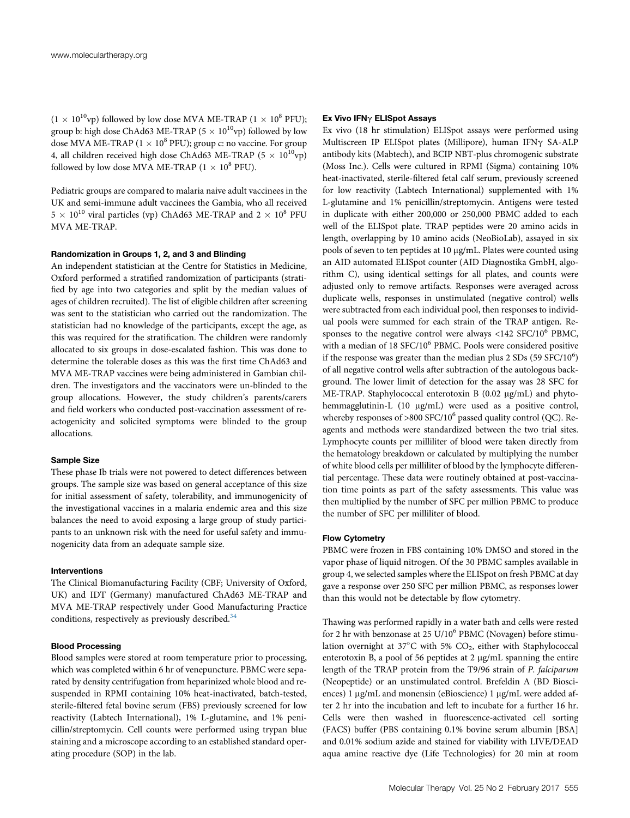$(1 \times 10^{10}$ vp) followed by low dose MVA ME-TRAP  $(1 \times 10^8$  PFU); group b: high dose ChAd63 ME-TRAP ( $5 \times 10^{10}$ vp) followed by low dose MVA ME-TRAP ( $1 \times 10^8$  PFU); group c: no vaccine. For group 4, all children received high dose ChAd63 ME-TRAP ( $5 \times 10^{10}$ vp) followed by low dose MVA ME-TRAP ( $1 \times 10^8$  PFU).

Pediatric groups are compared to malaria naive adult vaccinees in the UK and semi-immune adult vaccinees the Gambia, who all received  $5 \times 10^{10}$  viral particles (vp) ChAd63 ME-TRAP and 2  $\times$   $10^8$  PFU MVA ME-TRAP.

#### Randomization in Groups 1, 2, and 3 and Blinding

An independent statistician at the Centre for Statistics in Medicine, Oxford performed a stratified randomization of participants (stratified by age into two categories and split by the median values of ages of children recruited). The list of eligible children after screening was sent to the statistician who carried out the randomization. The statistician had no knowledge of the participants, except the age, as this was required for the stratification. The children were randomly allocated to six groups in dose-escalated fashion. This was done to determine the tolerable doses as this was the first time ChAd63 and MVA ME-TRAP vaccines were being administered in Gambian children. The investigators and the vaccinators were un-blinded to the group allocations. However, the study children's parents/carers and field workers who conducted post-vaccination assessment of reactogenicity and solicited symptoms were blinded to the group allocations.

#### Sample Size

These phase Ib trials were not powered to detect differences between groups. The sample size was based on general acceptance of this size for initial assessment of safety, tolerability, and immunogenicity of the investigational vaccines in a malaria endemic area and this size balances the need to avoid exposing a large group of study participants to an unknown risk with the need for useful safety and immunogenicity data from an adequate sample size.

## Interventions

The Clinical Biomanufacturing Facility (CBF; University of Oxford, UK) and IDT (Germany) manufactured ChAd63 ME-TRAP and MVA ME-TRAP respectively under Good Manufacturing Practice conditions, respectively as previously described.<sup>[34](#page-11-0)</sup>

#### Blood Processing

Blood samples were stored at room temperature prior to processing, which was completed within 6 hr of venepuncture. PBMC were separated by density centrifugation from heparinized whole blood and resuspended in RPMI containing 10% heat-inactivated, batch-tested, sterile-filtered fetal bovine serum (FBS) previously screened for low reactivity (Labtech International), 1% L-glutamine, and 1% penicillin/streptomycin. Cell counts were performed using trypan blue staining and a microscope according to an established standard operating procedure (SOP) in the lab.

#### Ex Vivo IFN $\gamma$  ELISpot Assays

Ex vivo (18 hr stimulation) ELISpot assays were performed using Multiscreen IP ELISpot plates (Millipore), human IFN $\gamma$  SA-ALP antibody kits (Mabtech), and BCIP NBT-plus chromogenic substrate (Moss Inc.). Cells were cultured in RPMI (Sigma) containing 10% heat-inactivated, sterile-filtered fetal calf serum, previously screened for low reactivity (Labtech International) supplemented with 1% L-glutamine and 1% penicillin/streptomycin. Antigens were tested in duplicate with either 200,000 or 250,000 PBMC added to each well of the ELISpot plate. TRAP peptides were 20 amino acids in length, overlapping by 10 amino acids (NeoBioLab), assayed in six pools of seven to ten peptides at 10 µg/mL. Plates were counted using an AID automated ELISpot counter (AID Diagnostika GmbH, algorithm C), using identical settings for all plates, and counts were adjusted only to remove artifacts. Responses were averaged across duplicate wells, responses in unstimulated (negative control) wells were subtracted from each individual pool, then responses to individual pools were summed for each strain of the TRAP antigen. Responses to the negative control were always  $\langle 142 \text{ SFC}/10^6 \text{ PBMC} \rangle$ , with a median of 18  $SFC/10^6$  PBMC. Pools were considered positive if the response was greater than the median plus  $2$  SDs (59 SFC/ $10^6$ ) of all negative control wells after subtraction of the autologous background. The lower limit of detection for the assay was 28 SFC for ME-TRAP. Staphylococcal enterotoxin B (0.02 µg/mL) and phytohemmagglutinin-L (10 µg/mL) were used as a positive control, whereby responses of >800 SFC/10 $^6$  passed quality control (QC). Reagents and methods were standardized between the two trial sites. Lymphocyte counts per milliliter of blood were taken directly from the hematology breakdown or calculated by multiplying the number of white blood cells per milliliter of blood by the lymphocyte differential percentage. These data were routinely obtained at post-vaccination time points as part of the safety assessments. This value was then multiplied by the number of SFC per million PBMC to produce the number of SFC per milliliter of blood.

#### Flow Cytometry

PBMC were frozen in FBS containing 10% DMSO and stored in the vapor phase of liquid nitrogen. Of the 30 PBMC samples available in group 4, we selected samples where the ELISpot on fresh PBMC at day gave a response over 250 SFC per million PBMC, as responses lower than this would not be detectable by flow cytometry.

Thawing was performed rapidly in a water bath and cells were rested for 2 hr with benzonase at 25  $U/10^6$  PBMC (Novagen) before stimulation overnight at  $37^{\circ}$ C with  $5\%$  CO<sub>2</sub>, either with Staphylococcal enterotoxin B, a pool of 56 peptides at 2 µg/mL spanning the entire length of the TRAP protein from the T9/96 strain of P. falciparum (Neopeptide) or an unstimulated control. Brefeldin A (BD Biosciences) 1 µg/mL and monensin (eBioscience) 1 µg/mL were added after 2 hr into the incubation and left to incubate for a further 16 hr. Cells were then washed in fluorescence-activated cell sorting (FACS) buffer (PBS containing 0.1% bovine serum albumin [BSA] and 0.01% sodium azide and stained for viability with LIVE/DEAD aqua amine reactive dye (Life Technologies) for 20 min at room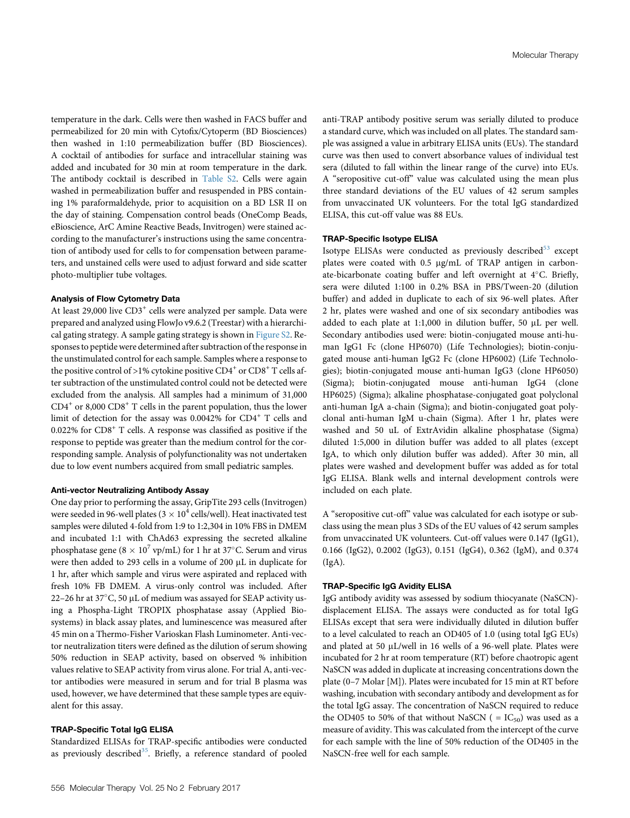temperature in the dark. Cells were then washed in FACS buffer and permeabilized for 20 min with Cytofix/Cytoperm (BD Biosciences) then washed in 1:10 permeabilization buffer (BD Biosciences). A cocktail of antibodies for surface and intracellular staining was added and incubated for 30 min at room temperature in the dark. The antibody cocktail is described in Table S2. Cells were again washed in permeabilization buffer and resuspended in PBS containing 1% paraformaldehyde, prior to acquisition on a BD LSR II on the day of staining. Compensation control beads (OneComp Beads, eBioscience, ArC Amine Reactive Beads, Invitrogen) were stained according to the manufacturer's instructions using the same concentration of antibody used for cells to for compensation between parameters, and unstained cells were used to adjust forward and side scatter photo-multiplier tube voltages.

#### Analysis of Flow Cytometry Data

At least 29,000 live  $CD3<sup>+</sup>$  cells were analyzed per sample. Data were prepared and analyzed using FlowJo v9.6.2 (Treestar) with a hierarchical gating strategy. A sample gating strategy is shown in Figure S2. Responses to peptide were determined after subtraction of the response in the unstimulated control for each sample. Samples where a response to the positive control of >1% cytokine positive  $CD4^+$  or  $CD8^+$  T cells after subtraction of the unstimulated control could not be detected were excluded from the analysis. All samples had a minimum of 31,000  $CD4<sup>+</sup>$  or 8,000  $CD8<sup>+</sup>$  T cells in the parent population, thus the lower limit of detection for the assay was 0.0042% for CD4<sup>+</sup> T cells and 0.022% for  $CD8<sup>+</sup>$  T cells. A response was classified as positive if the response to peptide was greater than the medium control for the corresponding sample. Analysis of polyfunctionality was not undertaken due to low event numbers acquired from small pediatric samples.

#### Anti-vector Neutralizing Antibody Assay

One day prior to performing the assay, GripTite 293 cells (Invitrogen) were seeded in 96-well plates (3  $\times$  10<sup>4</sup> cells/well). Heat inactivated test samples were diluted 4-fold from 1:9 to 1:2,304 in 10% FBS in DMEM and incubated 1:1 with ChAd63 expressing the secreted alkaline phosphatase gene ( $8 \times 10^7$  vp/mL) for 1 hr at 37°C. Serum and virus were then added to 293 cells in a volume of 200 µL in duplicate for 1 hr, after which sample and virus were aspirated and replaced with fresh 10% FB DMEM. A virus-only control was included. After 22–26 hr at 37 $^{\circ}$ C, 50 µL of medium was assayed for SEAP activity using a Phospha-Light TROPIX phosphatase assay (Applied Biosystems) in black assay plates, and luminescence was measured after 45 min on a Thermo-Fisher Varioskan Flash Luminometer. Anti-vector neutralization titers were defined as the dilution of serum showing 50% reduction in SEAP activity, based on observed % inhibition values relative to SEAP activity from virus alone. For trial A, anti-vector antibodies were measured in serum and for trial B plasma was used, however, we have determined that these sample types are equivalent for this assay.

# TRAP-Specific Total IgG ELISA

Standardized ELISAs for TRAP-specific antibodies were conducted as previously described<sup>35</sup>. Briefly, a reference standard of pooled

anti-TRAP antibody positive serum was serially diluted to produce a standard curve, which was included on all plates. The standard sample was assigned a value in arbitrary ELISA units (EUs). The standard curve was then used to convert absorbance values of individual test sera (diluted to fall within the linear range of the curve) into EUs. A "seropositive cut-off" value was calculated using the mean plus three standard deviations of the EU values of 42 serum samples from unvaccinated UK volunteers. For the total IgG standardized ELISA, this cut-off value was 88 EUs.

#### TRAP-Specific Isotype ELISA

Isotype ELISAs were conducted as previously described<sup>[53](#page-12-0)</sup> except plates were coated with 0.5 µg/mL of TRAP antigen in carbonate-bicarbonate coating buffer and left overnight at  $4^{\circ}$ C. Briefly, sera were diluted 1:100 in 0.2% BSA in PBS/Tween-20 (dilution buffer) and added in duplicate to each of six 96-well plates. After 2 hr, plates were washed and one of six secondary antibodies was added to each plate at  $1:1,000$  in dilution buffer, 50  $\mu$ L per well. Secondary antibodies used were: biotin-conjugated mouse anti-human IgG1 Fc (clone HP6070) (Life Technologies); biotin-conjugated mouse anti-human IgG2 Fc (clone HP6002) (Life Technologies); biotin-conjugated mouse anti-human IgG3 (clone HP6050) (Sigma); biotin-conjugated mouse anti-human IgG4 (clone HP6025) (Sigma); alkaline phosphatase-conjugated goat polyclonal anti-human IgA a-chain (Sigma); and biotin-conjugated goat polyclonal anti-human IgM u-chain (Sigma). After 1 hr, plates were washed and 50 uL of ExtrAvidin alkaline phosphatase (Sigma) diluted 1:5,000 in dilution buffer was added to all plates (except IgA, to which only dilution buffer was added). After 30 min, all plates were washed and development buffer was added as for total IgG ELISA. Blank wells and internal development controls were included on each plate.

A "seropositive cut-off" value was calculated for each isotype or subclass using the mean plus 3 SDs of the EU values of 42 serum samples from unvaccinated UK volunteers. Cut-off values were 0.147 (IgG1), 0.166 (IgG2), 0.2002 (IgG3), 0.151 (IgG4), 0.362 (IgM), and 0.374 (IgA).

## TRAP-Specific IgG Avidity ELISA

IgG antibody avidity was assessed by sodium thiocyanate (NaSCN) displacement ELISA. The assays were conducted as for total IgG ELISAs except that sera were individually diluted in dilution buffer to a level calculated to reach an OD405 of 1.0 (using total IgG EUs) and plated at 50 µL/well in 16 wells of a 96-well plate. Plates were incubated for 2 hr at room temperature (RT) before chaotropic agent NaSCN was added in duplicate at increasing concentrations down the plate (0–7 Molar [M]). Plates were incubated for 15 min at RT before washing, incubation with secondary antibody and development as for the total IgG assay. The concentration of NaSCN required to reduce the OD405 to 50% of that without NaSCN ( $= IC_{50}$ ) was used as a measure of avidity. This was calculated from the intercept of the curve for each sample with the line of 50% reduction of the OD405 in the NaSCN-free well for each sample.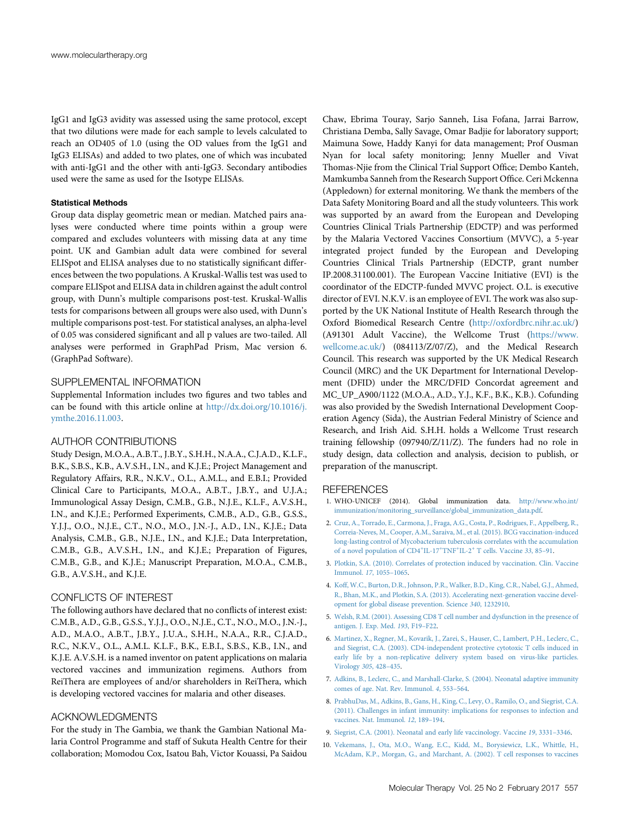<span id="page-10-0"></span>IgG1 and IgG3 avidity was assessed using the same protocol, except that two dilutions were made for each sample to levels calculated to reach an OD405 of 1.0 (using the OD values from the IgG1 and IgG3 ELISAs) and added to two plates, one of which was incubated with anti-IgG1 and the other with anti-IgG3. Secondary antibodies used were the same as used for the Isotype ELISAs.

#### Statistical Methods

Group data display geometric mean or median. Matched pairs analyses were conducted where time points within a group were compared and excludes volunteers with missing data at any time point. UK and Gambian adult data were combined for several ELISpot and ELISA analyses due to no statistically significant differences between the two populations. A Kruskal-Wallis test was used to compare ELISpot and ELISA data in children against the adult control group, with Dunn's multiple comparisons post-test. Kruskal-Wallis tests for comparisons between all groups were also used, with Dunn's multiple comparisons post-test. For statistical analyses, an alpha-level of 0.05 was considered significant and all p values are two-tailed. All analyses were performed in GraphPad Prism, Mac version 6. (GraphPad Software).

# SUPPLEMENTAL INFORMATION

Supplemental Information includes two figures and two tables and can be found with this article online at [http://dx.doi.org/10.1016/j.](http://dx.doi.org/10.1016/j.ymthe.2016.11.003) [ymthe.2016.11.003](http://dx.doi.org/10.1016/j.ymthe.2016.11.003).

#### AUTHOR CONTRIBUTIONS

Study Design, M.O.A., A.B.T., J.B.Y., S.H.H., N.A.A., C.J.A.D., K.L.F., B.K., S.B.S., K.B., A.V.S.H., I.N., and K.J.E.; Project Management and Regulatory Affairs, R.R., N.K.V., O.L., A.M.L., and E.B.I.; Provided Clinical Care to Participants, M.O.A., A.B.T., J.B.Y., and U.J.A.; Immunological Assay Design, C.M.B., G.B., N.J.E., K.L.F., A.V.S.H., I.N., and K.J.E.; Performed Experiments, C.M.B., A.D., G.B., G.S.S., Y.J.J., O.O., N.J.E., C.T., N.O., M.O., J.N.-J., A.D., I.N., K.J.E.; Data Analysis, C.M.B., G.B., N.J.E., I.N., and K.J.E.; Data Interpretation, C.M.B., G.B., A.V.S.H., I.N., and K.J.E.; Preparation of Figures, C.M.B., G.B., and K.J.E.; Manuscript Preparation, M.O.A., C.M.B., G.B., A.V.S.H., and K.J.E.

## CONFLICTS OF INTEREST

The following authors have declared that no conflicts of interest exist: C.M.B., A.D., G.B., G.S.S., Y.J.J., O.O., N.J.E., C.T., N.O., M.O., J.N.-J., A.D., M.A.O., A.B.T., J.B.Y., J.U.A., S.H.H., N.A.A., R.R., C.J.A.D., R.C., N.K.V., O.L., A.M.L. K.L.F., B.K., E.B.I., S.B.S., K.B., I.N., and K.J.E. A.V.S.H. is a named inventor on patent applications on malaria vectored vaccines and immunization regimens. Authors from ReiThera are employees of and/or shareholders in ReiThera, which is developing vectored vaccines for malaria and other diseases.

## ACKNOWLEDGMENTS

For the study in The Gambia, we thank the Gambian National Malaria Control Programme and staff of Sukuta Health Centre for their collaboration; Momodou Cox, Isatou Bah, Victor Kouassi, Pa Saidou

Chaw, Ebrima Touray, Sarjo Sanneh, Lisa Fofana, Jarrai Barrow, Christiana Demba, Sally Savage, Omar Badjie for laboratory support; Maimuna Sowe, Haddy Kanyi for data management; Prof Ousman Nyan for local safety monitoring; Jenny Mueller and Vivat Thomas-Njie from the Clinical Trial Support Office; Dembo Kanteh, Mamkumba Sanneh from the Research Support Office. Ceri Mckenna (Appledown) for external monitoring. We thank the members of the Data Safety Monitoring Board and all the study volunteers. This work was supported by an award from the European and Developing Countries Clinical Trials Partnership (EDCTP) and was performed by the Malaria Vectored Vaccines Consortium (MVVC), a 5-year integrated project funded by the European and Developing Countries Clinical Trials Partnership (EDCTP, grant number IP.2008.31100.001). The European Vaccine Initiative (EVI) is the coordinator of the EDCTP-funded MVVC project. O.L. is executive director of EVI. N.K.V. is an employee of EVI. The work was also supported by the UK National Institute of Health Research through the Oxford Biomedical Research Centre [\(http://oxfordbrc.nihr.ac.uk/\)](http://oxfordbrc.nihr.ac.uk/) (A91301 Adult Vaccine), the Wellcome Trust ([https://www.](https://www.wellcome.ac.uk/) [wellcome.ac.uk/\)](https://www.wellcome.ac.uk/) (084113/Z/07/Z), and the Medical Research Council. This research was supported by the UK Medical Research Council (MRC) and the UK Department for International Development (DFID) under the MRC/DFID Concordat agreement and MC\_UP\_A900/1122 (M.O.A., A.D., Y.J., K.F., B.K., K.B.). Cofunding was also provided by the Swedish International Development Cooperation Agency (Sida), the Austrian Federal Ministry of Science and Research, and Irish Aid. S.H.H. holds a Wellcome Trust research training fellowship (097940/Z/11/Z). The funders had no role in study design, data collection and analysis, decision to publish, or preparation of the manuscript.

#### REFERENCES

- 1. WHO-UNICEF (2014). Global immunization data. [http://www.who.int/](http://www.who.int/immunization/monitoring_surveillance/global_immunization_data.pdf) [immunization/monitoring\\_surveillance/global\\_immunization\\_data.pdf](http://www.who.int/immunization/monitoring_surveillance/global_immunization_data.pdf).
- 2. [Cruz, A., Torrado, E., Carmona, J., Fraga, A.G., Costa, P., Rodrigues, F., Appelberg, R.,](http://refhub.elsevier.com/S1525-0016(16)45386-4/sref2) [Correia-Neves, M., Cooper, A.M., Saraiva, M., et al. \(2015\). BCG vaccination-induced](http://refhub.elsevier.com/S1525-0016(16)45386-4/sref2) [long-lasting control of Mycobacterium tuberculosis correlates with the accumulation](http://refhub.elsevier.com/S1525-0016(16)45386-4/sref2) [of](http://refhub.elsevier.com/S1525-0016(16)45386-4/sref2) [a](http://refhub.elsevier.com/S1525-0016(16)45386-4/sref2) [novel](http://refhub.elsevier.com/S1525-0016(16)45386-4/sref2) [population](http://refhub.elsevier.com/S1525-0016(16)45386-4/sref2) of [CD4](http://refhub.elsevier.com/S1525-0016(16)45386-4/sref2)<sup>+</sup>[IL-17](http://refhub.elsevier.com/S1525-0016(16)45386-4/sref2)<sup>+</sup>[TNF](http://refhub.elsevier.com/S1525-0016(16)45386-4/sref2)<sup>+</sup>[IL-2](http://refhub.elsevier.com/S1525-0016(16)45386-4/sref2)<sup>+</sup> [T cells. Vaccine](http://refhub.elsevier.com/S1525-0016(16)45386-4/sref2) 33, 85-91.
- 3. [Plotkin, S.A. \(2010\). Correlates of protection induced by vaccination. Clin. Vaccine](http://refhub.elsevier.com/S1525-0016(16)45386-4/sref3) [Immunol.](http://refhub.elsevier.com/S1525-0016(16)45386-4/sref3) 17, 1055–1065.
- 4. [Koff, W.C., Burton, D.R., Johnson, P.R., Walker, B.D., King, C.R., Nabel, G.J., Ahmed,](http://refhub.elsevier.com/S1525-0016(16)45386-4/sref4) [R., Bhan, M.K., and Plotkin, S.A. \(2013\). Accelerating next-generation vaccine devel](http://refhub.elsevier.com/S1525-0016(16)45386-4/sref4)[opment for global disease prevention. Science](http://refhub.elsevier.com/S1525-0016(16)45386-4/sref4) 340, 1232910.
- 5. [Welsh, R.M. \(2001\). Assessing CD8 T cell number and dysfunction in the presence of](http://refhub.elsevier.com/S1525-0016(16)45386-4/sref5) [antigen. J. Exp. Med.](http://refhub.elsevier.com/S1525-0016(16)45386-4/sref5) 193, F19–F22.
- 6. [Martinez, X., Regner, M., Kovarik, J., Zarei, S., Hauser, C., Lambert, P.H., Leclerc, C.,](http://refhub.elsevier.com/S1525-0016(16)45386-4/sref6) [and Siegrist, C.A. \(2003\). CD4-independent protective cytotoxic T cells induced in](http://refhub.elsevier.com/S1525-0016(16)45386-4/sref6) [early life by a non-replicative delivery system based on virus-like particles.](http://refhub.elsevier.com/S1525-0016(16)45386-4/sref6) [Virology](http://refhub.elsevier.com/S1525-0016(16)45386-4/sref6) 305, 428–435.
- 7. [Adkins, B., Leclerc, C., and Marshall-Clarke, S. \(2004\). Neonatal adaptive immunity](http://refhub.elsevier.com/S1525-0016(16)45386-4/sref7) [comes of age. Nat. Rev. Immunol.](http://refhub.elsevier.com/S1525-0016(16)45386-4/sref7) 4, 553–564.
- 8. [PrabhuDas, M., Adkins, B., Gans, H., King, C., Levy, O., Ramilo, O., and Siegrist, C.A.](http://refhub.elsevier.com/S1525-0016(16)45386-4/sref8) [\(2011\). Challenges in infant immunity: implications for responses to infection and](http://refhub.elsevier.com/S1525-0016(16)45386-4/sref8) [vaccines. Nat. Immunol.](http://refhub.elsevier.com/S1525-0016(16)45386-4/sref8) 12, 189–194.
- 9. [Siegrist, C.A. \(2001\). Neonatal and early life vaccinology. Vaccine](http://refhub.elsevier.com/S1525-0016(16)45386-4/sref9) 19, 3331–3346.
- 10. [Vekemans, J., Ota, M.O., Wang, E.C., Kidd, M., Borysiewicz, L.K., Whittle, H.,](http://refhub.elsevier.com/S1525-0016(16)45386-4/sref10) [McAdam, K.P., Morgan, G., and Marchant, A. \(2002\). T cell responses to vaccines](http://refhub.elsevier.com/S1525-0016(16)45386-4/sref10)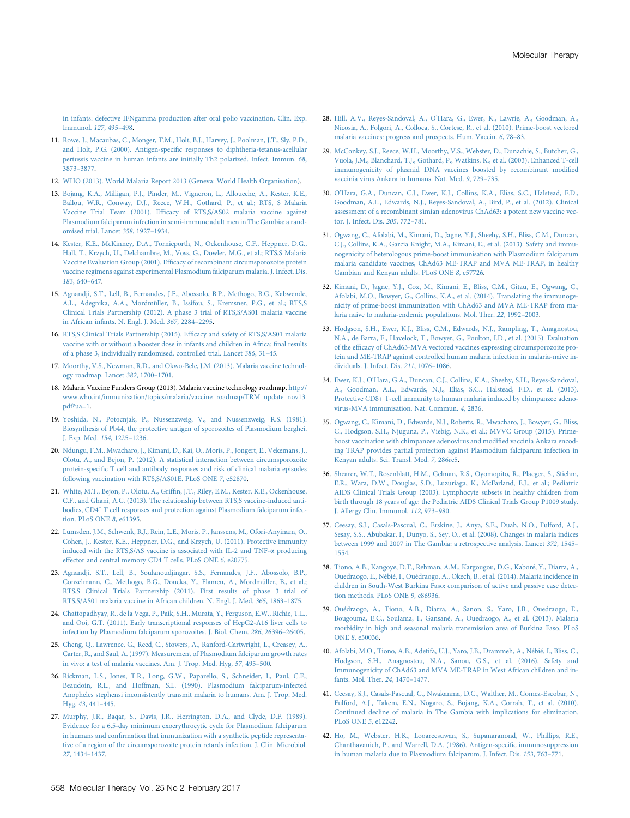<span id="page-11-0"></span>[in infants: defective IFNgamma production after oral polio vaccination. Clin. Exp.](http://refhub.elsevier.com/S1525-0016(16)45386-4/sref10) [Immunol.](http://refhub.elsevier.com/S1525-0016(16)45386-4/sref10) 127, 495–498.

- 11. [Rowe, J., Macaubas, C., Monger, T.M., Holt, B.J., Harvey, J., Poolman, J.T., Sly, P.D.,](http://refhub.elsevier.com/S1525-0016(16)45386-4/sref11) and Holt, P.G. (2000). Antigen-specifi[c responses to diphtheria-tetanus-acellular](http://refhub.elsevier.com/S1525-0016(16)45386-4/sref11) [pertussis vaccine in human infants are initially Th2 polarized. Infect. Immun.](http://refhub.elsevier.com/S1525-0016(16)45386-4/sref11) 68, [3873](http://refhub.elsevier.com/S1525-0016(16)45386-4/sref11)–3877.
- 12. [WHO \(2013\). World Malaria Report 2013 \(Geneva: World Health Organisation\)](http://refhub.elsevier.com/S1525-0016(16)45386-4/sref12).
- 13. [Bojang, K.A., Milligan, P.J., Pinder, M., Vigneron, L., Alloueche, A., Kester, K.E.,](http://refhub.elsevier.com/S1525-0016(16)45386-4/sref13) [Ballou, W.R., Conway, D.J., Reece, W.H., Gothard, P., et al.; RTS, S Malaria](http://refhub.elsevier.com/S1525-0016(16)45386-4/sref13) Vaccine Trial Team (2001). Effi[cacy of RTS,S/AS02 malaria vaccine against](http://refhub.elsevier.com/S1525-0016(16)45386-4/sref13) [Plasmodium falciparum infection in semi-immune adult men in The Gambia: a rand](http://refhub.elsevier.com/S1525-0016(16)45386-4/sref13)[omised trial. Lancet](http://refhub.elsevier.com/S1525-0016(16)45386-4/sref13) 358, 1927–1934.
- 14. [Kester, K.E., McKinney, D.A., Tornieporth, N., Ockenhouse, C.F., Heppner, D.G.,](http://refhub.elsevier.com/S1525-0016(16)45386-4/sref14) [Hall, T., Krzych, U., Delchambre, M., Voss, G., Dowler, M.G., et al.; RTS,S Malaria](http://refhub.elsevier.com/S1525-0016(16)45386-4/sref14) Vaccine Evaluation Group (2001). Effi[cacy of recombinant circumsporozoite protein](http://refhub.elsevier.com/S1525-0016(16)45386-4/sref14) [vaccine regimens against experimental Plasmodium falciparum malaria. J. Infect. Dis.](http://refhub.elsevier.com/S1525-0016(16)45386-4/sref14) 183[, 640](http://refhub.elsevier.com/S1525-0016(16)45386-4/sref14)–647.
- 15. [Agnandji, S.T., Lell, B., Fernandes, J.F., Abossolo, B.P., Methogo, B.G., Kabwende,](http://refhub.elsevier.com/S1525-0016(16)45386-4/sref15) [A.L., Adegnika, A.A., Mordmüller, B., Issifou, S., Kremsner, P.G., et al.; RTS,S](http://refhub.elsevier.com/S1525-0016(16)45386-4/sref15) [Clinical Trials Partnership \(2012\). A phase 3 trial of RTS,S/AS01 malaria vaccine](http://refhub.elsevier.com/S1525-0016(16)45386-4/sref15) [in African infants. N. Engl. J. Med.](http://refhub.elsevier.com/S1525-0016(16)45386-4/sref15) 367, 2284–2295.
- 16. [RTS,S Clinical Trials Partnership \(2015\). Ef](http://refhub.elsevier.com/S1525-0016(16)45386-4/sref16)ficacy and safety of RTS,S/AS01 malaria [vaccine with or without a booster dose in infants and children in Africa:](http://refhub.elsevier.com/S1525-0016(16)45386-4/sref16) final results [of a phase 3, individually randomised, controlled trial. Lancet](http://refhub.elsevier.com/S1525-0016(16)45386-4/sref16) 386, 31–45.
- 17. [Moorthy, V.S., Newman, R.D., and Okwo-Bele, J.M. \(2013\). Malaria vaccine technol](http://refhub.elsevier.com/S1525-0016(16)45386-4/sref17)[ogy roadmap. Lancet](http://refhub.elsevier.com/S1525-0016(16)45386-4/sref17) 382, 1700–1701.
- 18. Malaria Vaccine Funders Group (2013). Malaria vaccine technology roadmap. [http://](http://www.who.int/immunization/topics/malaria/vaccine_roadmap/TRM_update_nov13.pdf?ua=1) [www.who.int/immunization/topics/malaria/vaccine\\_roadmap/TRM\\_update\\_nov13.](http://www.who.int/immunization/topics/malaria/vaccine_roadmap/TRM_update_nov13.pdf?ua=1) [pdf?ua=1](http://www.who.int/immunization/topics/malaria/vaccine_roadmap/TRM_update_nov13.pdf?ua=1).
- 19. [Yoshida, N., Potocnjak, P., Nussenzweig, V., and Nussenzweig, R.S. \(1981\).](http://refhub.elsevier.com/S1525-0016(16)45386-4/sref19) [Biosynthesis of Pb44, the protective antigen of sporozoites of Plasmodium berghei.](http://refhub.elsevier.com/S1525-0016(16)45386-4/sref19) [J. Exp. Med.](http://refhub.elsevier.com/S1525-0016(16)45386-4/sref19) 154, 1225–1236.
- 20. [Ndungu, F.M., Mwacharo, J., Kimani, D., Kai, O., Moris, P., Jongert, E., Vekemans, J.,](http://refhub.elsevier.com/S1525-0016(16)45386-4/sref20) [Olotu, A., and Bejon, P. \(2012\). A statistical interaction between circumsporozoite](http://refhub.elsevier.com/S1525-0016(16)45386-4/sref20) protein-specifi[c T cell and antibody responses and risk of clinical malaria episodes](http://refhub.elsevier.com/S1525-0016(16)45386-4/sref20) [following vaccination with RTS,S/AS01E. PLoS ONE](http://refhub.elsevier.com/S1525-0016(16)45386-4/sref20) 7, e52870.
- 21. White, M.T., Bejon, P., Olotu, A., Griffi[n, J.T., Riley, E.M., Kester, K.E., Ockenhouse,](http://refhub.elsevier.com/S1525-0016(16)45386-4/sref21) [C.F., and Ghani, A.C. \(2013\). The relationship between RTS,S vaccine-induced anti](http://refhub.elsevier.com/S1525-0016(16)45386-4/sref21)[bodies,](http://refhub.elsevier.com/S1525-0016(16)45386-4/sref21) [CD4](http://refhub.elsevier.com/S1525-0016(16)45386-4/sref21)<sup>+</sup> [T cell responses and protection against Plasmodium falciparum infec](http://refhub.elsevier.com/S1525-0016(16)45386-4/sref21)[tion. PLoS ONE](http://refhub.elsevier.com/S1525-0016(16)45386-4/sref21) 8, e61395.
- 22. [Lumsden, J.M., Schwenk, R.J., Rein, L.E., Moris, P., Janssens, M., Ofori-Anyinam, O.,](http://refhub.elsevier.com/S1525-0016(16)45386-4/sref22) [Cohen, J., Kester, K.E., Heppner, D.G., and Krzych, U. \(2011\). Protective immunity](http://refhub.elsevier.com/S1525-0016(16)45386-4/sref22) [induced with the RTS,S/AS vaccine is associated with IL-2 and TNF-](http://refhub.elsevier.com/S1525-0016(16)45386-4/sref22)a producing [effector and central memory CD4 T cells. PLoS ONE](http://refhub.elsevier.com/S1525-0016(16)45386-4/sref22) 6, e20775.
- 23. [Agnandji, S.T., Lell, B., Soulanoudjingar, S.S., Fernandes, J.F., Abossolo, B.P.,](http://refhub.elsevier.com/S1525-0016(16)45386-4/sref23) [Conzelmann, C., Methogo, B.G., Doucka, Y., Flamen, A., Mordmüller, B., et al.;](http://refhub.elsevier.com/S1525-0016(16)45386-4/sref23) [RTS,S Clinical Trials Partnership \(2011\). First results of phase 3 trial of](http://refhub.elsevier.com/S1525-0016(16)45386-4/sref23) [RTS,S/AS01 malaria vaccine in African children. N. Engl. J. Med.](http://refhub.elsevier.com/S1525-0016(16)45386-4/sref23) 365, 1863–1875.
- 24. [Chattopadhyay, R., de la Vega, P., Paik, S.H., Murata, Y., Ferguson, E.W., Richie, T.L.,](http://refhub.elsevier.com/S1525-0016(16)45386-4/sref24) [and Ooi, G.T. \(2011\). Early transcriptional responses of HepG2-A16 liver cells to](http://refhub.elsevier.com/S1525-0016(16)45386-4/sref24) [infection by Plasmodium falciparum sporozoites. J. Biol. Chem.](http://refhub.elsevier.com/S1525-0016(16)45386-4/sref24) 286, 26396–26405.
- 25. [Cheng, Q., Lawrence, G., Reed, C., Stowers, A., Ranford-Cartwright, L., Creasey, A.,](http://refhub.elsevier.com/S1525-0016(16)45386-4/sref25) [Carter, R., and Saul, A. \(1997\). Measurement of Plasmodium falciparum growth rates](http://refhub.elsevier.com/S1525-0016(16)45386-4/sref25) [in vivo: a test of malaria vaccines. Am. J. Trop. Med. Hyg.](http://refhub.elsevier.com/S1525-0016(16)45386-4/sref25) 57, 495–500.
- 26. [Rickman, L.S., Jones, T.R., Long, G.W., Paparello, S., Schneider, I., Paul, C.F.,](http://refhub.elsevier.com/S1525-0016(16)45386-4/sref26) [Beaudoin, R.L., and Hoffman, S.L. \(1990\). Plasmodium falciparum-infected](http://refhub.elsevier.com/S1525-0016(16)45386-4/sref26) [Anopheles stephensi inconsistently transmit malaria to humans. Am. J. Trop. Med.](http://refhub.elsevier.com/S1525-0016(16)45386-4/sref26) Hyg. 43[, 441](http://refhub.elsevier.com/S1525-0016(16)45386-4/sref26)–445.
- 27. [Murphy, J.R., Baqar, S., Davis, J.R., Herrington, D.A., and Clyde, D.F. \(1989\).](http://refhub.elsevier.com/S1525-0016(16)45386-4/sref27) [Evidence for a 6.5-day minimum exoerythrocytic cycle for Plasmodium falciparum](http://refhub.elsevier.com/S1525-0016(16)45386-4/sref27) in humans and confi[rmation that immunization with a synthetic peptide representa](http://refhub.elsevier.com/S1525-0016(16)45386-4/sref27)[tive of a region of the circumsporozoite protein retards infection. J. Clin. Microbiol.](http://refhub.elsevier.com/S1525-0016(16)45386-4/sref27) 27[, 1434](http://refhub.elsevier.com/S1525-0016(16)45386-4/sref27)–1437.
- 28. Hill, A.V., Reyes-Sandoval, A., O'[Hara, G., Ewer, K., Lawrie, A., Goodman, A.,](http://refhub.elsevier.com/S1525-0016(16)45386-4/sref28) [Nicosia, A., Folgori, A., Colloca, S., Cortese, R., et al. \(2010\). Prime-boost vectored](http://refhub.elsevier.com/S1525-0016(16)45386-4/sref28) [malaria vaccines: progress and prospects. Hum. Vaccin.](http://refhub.elsevier.com/S1525-0016(16)45386-4/sref28) 6, 78–83.
- 29. [McConkey, S.J., Reece, W.H., Moorthy, V.S., Webster, D., Dunachie, S., Butcher, G.,](http://refhub.elsevier.com/S1525-0016(16)45386-4/sref29) [Vuola, J.M., Blanchard, T.J., Gothard, P., Watkins, K., et al. \(2003\). Enhanced T-cell](http://refhub.elsevier.com/S1525-0016(16)45386-4/sref29) [immunogenicity of plasmid DNA vaccines boosted by recombinant modi](http://refhub.elsevier.com/S1525-0016(16)45386-4/sref29)fied [vaccinia virus Ankara in humans. Nat. Med.](http://refhub.elsevier.com/S1525-0016(16)45386-4/sref29) 9, 729–735.
- 30. O'[Hara, G.A., Duncan, C.J., Ewer, K.J., Collins, K.A., Elias, S.C., Halstead, F.D.,](http://refhub.elsevier.com/S1525-0016(16)45386-4/sref30) [Goodman, A.L., Edwards, N.J., Reyes-Sandoval, A., Bird, P., et al. \(2012\). Clinical](http://refhub.elsevier.com/S1525-0016(16)45386-4/sref30) [assessment of a recombinant simian adenovirus ChAd63: a potent new vaccine vec](http://refhub.elsevier.com/S1525-0016(16)45386-4/sref30)[tor. J. Infect. Dis.](http://refhub.elsevier.com/S1525-0016(16)45386-4/sref30) 205, 772–781.
- 31. [Ogwang, C., Afolabi, M., Kimani, D., Jagne, Y.J., Sheehy, S.H., Bliss, C.M., Duncan,](http://refhub.elsevier.com/S1525-0016(16)45386-4/sref31) [C.J., Collins, K.A., Garcia Knight, M.A., Kimani, E., et al. \(2013\). Safety and immu](http://refhub.elsevier.com/S1525-0016(16)45386-4/sref31)[nogenicity of heterologous prime-boost immunisation with Plasmodium falciparum](http://refhub.elsevier.com/S1525-0016(16)45386-4/sref31) [malaria candidate vaccines, ChAd63 ME-TRAP and MVA ME-TRAP, in healthy](http://refhub.elsevier.com/S1525-0016(16)45386-4/sref31) [Gambian and Kenyan adults. PLoS ONE](http://refhub.elsevier.com/S1525-0016(16)45386-4/sref31) 8, e57726.
- 32. [Kimani, D., Jagne, Y.J., Cox, M., Kimani, E., Bliss, C.M., Gitau, E., Ogwang, C.,](http://refhub.elsevier.com/S1525-0016(16)45386-4/sref32) [Afolabi, M.O., Bowyer, G., Collins, K.A., et al. \(2014\). Translating the immunoge](http://refhub.elsevier.com/S1525-0016(16)45386-4/sref32)[nicity of prime-boost immunization with ChAd63 and MVA ME-TRAP from ma](http://refhub.elsevier.com/S1525-0016(16)45386-4/sref32)[laria naive to malaria-endemic populations. Mol. Ther.](http://refhub.elsevier.com/S1525-0016(16)45386-4/sref32) 22, 1992–2003.
- 33. [Hodgson, S.H., Ewer, K.J., Bliss, C.M., Edwards, N.J., Rampling, T., Anagnostou,](http://refhub.elsevier.com/S1525-0016(16)45386-4/sref33) [N.A., de Barra, E., Havelock, T., Bowyer, G., Poulton, I.D., et al. \(2015\). Evaluation](http://refhub.elsevier.com/S1525-0016(16)45386-4/sref33) of the effi[cacy of ChAd63-MVA vectored vaccines expressing circumsporozoite pro](http://refhub.elsevier.com/S1525-0016(16)45386-4/sref33)[tein and ME-TRAP against controlled human malaria infection in malaria-naive in](http://refhub.elsevier.com/S1525-0016(16)45386-4/sref33)[dividuals. J. Infect. Dis.](http://refhub.elsevier.com/S1525-0016(16)45386-4/sref33) 211, 1076–1086.
- 34. Ewer, K.J., O'[Hara, G.A., Duncan, C.J., Collins, K.A., Sheehy, S.H., Reyes-Sandoval,](http://refhub.elsevier.com/S1525-0016(16)45386-4/sref34) [A., Goodman, A.L., Edwards, N.J., Elias, S.C., Halstead, F.D., et al. \(2013\).](http://refhub.elsevier.com/S1525-0016(16)45386-4/sref34) [Protective CD8+ T-cell immunity to human malaria induced by chimpanzee adeno](http://refhub.elsevier.com/S1525-0016(16)45386-4/sref34)[virus-MVA immunisation. Nat. Commun.](http://refhub.elsevier.com/S1525-0016(16)45386-4/sref34) 4, 2836.
- 35. [Ogwang, C., Kimani, D., Edwards, N.J., Roberts, R., Mwacharo, J., Bowyer, G., Bliss,](http://refhub.elsevier.com/S1525-0016(16)45386-4/sref35) [C., Hodgson, S.H., Njuguna, P., Viebig, N.K., et al.; MVVC Group \(2015\). Prime](http://refhub.elsevier.com/S1525-0016(16)45386-4/sref35)[boost vaccination with chimpanzee adenovirus and modi](http://refhub.elsevier.com/S1525-0016(16)45386-4/sref35)fied vaccinia Ankara encod[ing TRAP provides partial protection against Plasmodium falciparum infection in](http://refhub.elsevier.com/S1525-0016(16)45386-4/sref35) [Kenyan adults. Sci. Transl. Med.](http://refhub.elsevier.com/S1525-0016(16)45386-4/sref35) 7, 286re5.
- 36. [Shearer, W.T., Rosenblatt, H.M., Gelman, R.S., Oyomopito, R., Plaeger, S., Stiehm,](http://refhub.elsevier.com/S1525-0016(16)45386-4/sref36) [E.R., Wara, D.W., Douglas, S.D., Luzuriaga, K., McFarland, E.J., et al.; Pediatric](http://refhub.elsevier.com/S1525-0016(16)45386-4/sref36) [AIDS Clinical Trials Group \(2003\). Lymphocyte subsets in healthy children from](http://refhub.elsevier.com/S1525-0016(16)45386-4/sref36) [birth through 18 years of age: the Pediatric AIDS Clinical Trials Group P1009 study.](http://refhub.elsevier.com/S1525-0016(16)45386-4/sref36) [J. Allergy Clin. Immunol.](http://refhub.elsevier.com/S1525-0016(16)45386-4/sref36) 112, 973–980.
- 37. [Ceesay, S.J., Casals-Pascual, C., Erskine, J., Anya, S.E., Duah, N.O., Fulford, A.J.,](http://refhub.elsevier.com/S1525-0016(16)45386-4/sref37) [Sesay, S.S., Abubakar, I., Dunyo, S., Sey, O., et al. \(2008\). Changes in malaria indices](http://refhub.elsevier.com/S1525-0016(16)45386-4/sref37) [between 1999 and 2007 in The Gambia: a retrospective analysis. Lancet](http://refhub.elsevier.com/S1525-0016(16)45386-4/sref37) 372, 1545– [1554.](http://refhub.elsevier.com/S1525-0016(16)45386-4/sref37)
- 38. [Tiono, A.B., Kangoye, D.T., Rehman, A.M., Kargougou, D.G., Kaboré, Y., Diarra, A.,](http://refhub.elsevier.com/S1525-0016(16)45386-4/sref38) [Ouedraogo, E., Nébié, I., Ouédraogo, A., Okech, B., et al. \(2014\). Malaria incidence in](http://refhub.elsevier.com/S1525-0016(16)45386-4/sref38) [children in South-West Burkina Faso: comparison of active and passive case detec](http://refhub.elsevier.com/S1525-0016(16)45386-4/sref38)[tion methods. PLoS ONE](http://refhub.elsevier.com/S1525-0016(16)45386-4/sref38) 9, e86936.
- 39. [Ouédraogo, A., Tiono, A.B., Diarra, A., Sanon, S., Yaro, J.B., Ouedraogo, E.,](http://refhub.elsevier.com/S1525-0016(16)45386-4/sref39) [Bougouma, E.C., Soulama, I., Gansané, A., Ouedraogo, A., et al. \(2013\). Malaria](http://refhub.elsevier.com/S1525-0016(16)45386-4/sref39) [morbidity in high and seasonal malaria transmission area of Burkina Faso. PLoS](http://refhub.elsevier.com/S1525-0016(16)45386-4/sref39) ONE 8[, e50036.](http://refhub.elsevier.com/S1525-0016(16)45386-4/sref39)
- 40. [Afolabi, M.O., Tiono, A.B., Adetifa, U.J., Yaro, J.B., Drammeh, A., Nébié, I., Bliss, C.,](http://refhub.elsevier.com/S1525-0016(16)45386-4/sref40) [Hodgson, S.H., Anagnostou, N.A., Sanou, G.S., et al. \(2016\). Safety and](http://refhub.elsevier.com/S1525-0016(16)45386-4/sref40) [Immunogenicity of ChAd63 and MVA ME-TRAP in West African children and in](http://refhub.elsevier.com/S1525-0016(16)45386-4/sref40)[fants. Mol. Ther.](http://refhub.elsevier.com/S1525-0016(16)45386-4/sref40) 24, 1470–1477.
- 41. [Ceesay, S.J., Casals-Pascual, C., Nwakanma, D.C., Walther, M., Gomez-Escobar, N.,](http://refhub.elsevier.com/S1525-0016(16)45386-4/sref41) [Fulford, A.J., Takem, E.N., Nogaro, S., Bojang, K.A., Corrah, T., et al. \(2010\).](http://refhub.elsevier.com/S1525-0016(16)45386-4/sref41) [Continued decline of malaria in The Gambia with implications for elimination.](http://refhub.elsevier.com/S1525-0016(16)45386-4/sref41) [PLoS ONE](http://refhub.elsevier.com/S1525-0016(16)45386-4/sref41) 5, e12242.
- 42. [Ho, M., Webster, H.K., Looareesuwan, S., Supanaranond, W., Phillips, R.E.,](http://refhub.elsevier.com/S1525-0016(16)45386-4/sref42) [Chanthavanich, P., and Warrell, D.A. \(1986\). Antigen-speci](http://refhub.elsevier.com/S1525-0016(16)45386-4/sref42)fic immunosuppression [in human malaria due to Plasmodium falciparum. J. Infect. Dis.](http://refhub.elsevier.com/S1525-0016(16)45386-4/sref42) 153, 763–771.